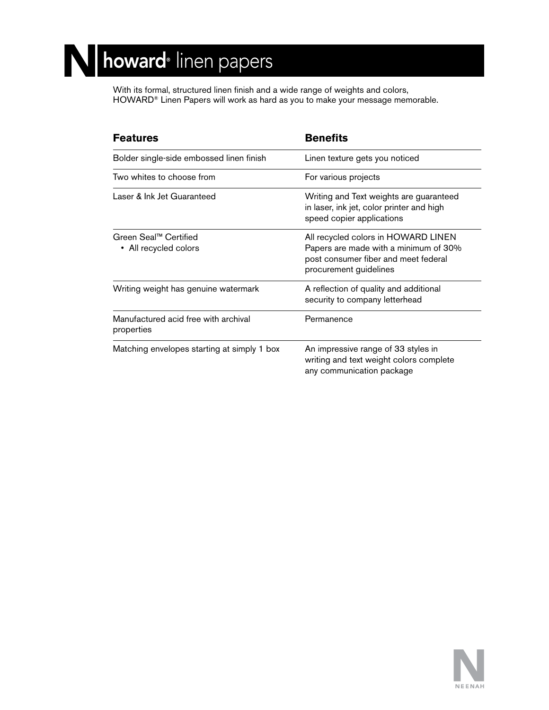## N howard® linen papers

With its formal, structured linen finish and a wide range of weights and colors, HOWARD® Linen Papers will work as hard as you to make your message memorable.

| <b>Features</b>                                    | <b>Benefits</b>                                                                                                                                |
|----------------------------------------------------|------------------------------------------------------------------------------------------------------------------------------------------------|
| Bolder single-side embossed linen finish           | Linen texture gets you noticed                                                                                                                 |
| Two whites to choose from                          | For various projects                                                                                                                           |
| Laser & Ink Jet Guaranteed                         | Writing and Text weights are guaranteed<br>in laser, ink jet, color printer and high<br>speed copier applications                              |
| Green Seal™ Certified<br>• All recycled colors     | All recycled colors in HOWARD LINEN<br>Papers are made with a minimum of 30%<br>post consumer fiber and meet federal<br>procurement guidelines |
| Writing weight has genuine watermark               | A reflection of quality and additional<br>security to company letterhead                                                                       |
| Manufactured acid free with archival<br>properties | Permanence                                                                                                                                     |
| Matching envelopes starting at simply 1 box        | An impressive range of 33 styles in<br>writing and text weight colors complete<br>any communication package                                    |

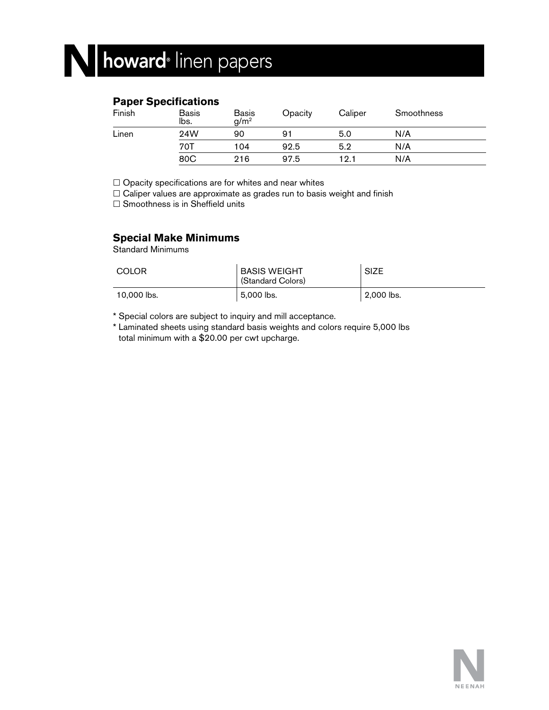### **Paper Specifications**

| Finish | <b>Basis</b><br>lbs. | <b>Basis</b><br>q/m <sup>2</sup> | Opacity | Caliper | Smoothness |  |
|--------|----------------------|----------------------------------|---------|---------|------------|--|
| Linen  | 24W                  | 90                               | 91      | 5.0     | N/A        |  |
|        | 70T                  | 104                              | 92.5    | 5.2     | N/A        |  |
|        | 80C                  | 216                              | 97.5    | 12.1    | N/A        |  |

 $\square$  Opacity specifications are for whites and near whites

 $\Box$  Caliper values are approximate as grades run to basis weight and finish

 $\square$  Smoothness is in Sheffield units

### **Special Make Minimums**

Standard Minimums

| COLOR       | <b>BASIS WEIGHT</b><br>(Standard Colors) | <b>SIZE</b>      |
|-------------|------------------------------------------|------------------|
| 10.000 lbs. | ็ 5,000 lbs.                             | $\pm 2,000$ lbs. |

\* Special colors are subject to inquiry and mill acceptance.

\* Laminated sheets using standard basis weights and colors require 5,000 lbs total minimum with a \$20.00 per cwt upcharge.

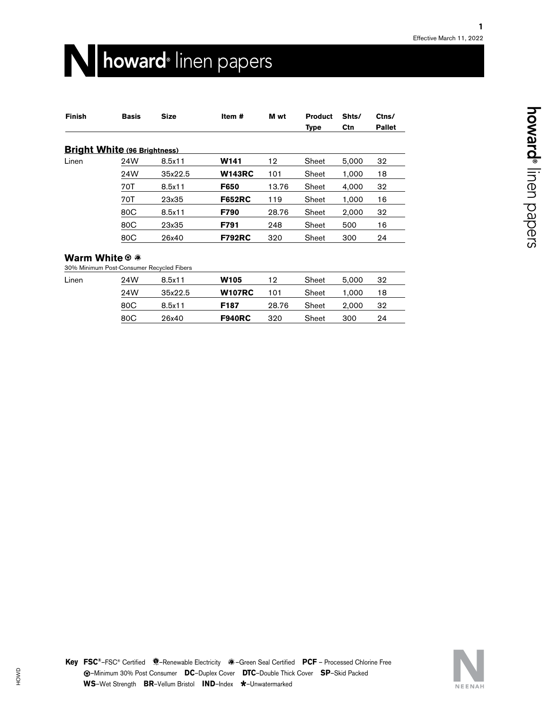## N howard<sup>®</sup> linen papers

| <b>Finish</b> | <b>Basis</b>                        | <b>Size</b> | Item#            | M wt  | <b>Product</b><br><b>Type</b> | Shts/<br>Ctn | Ctns/<br><b>Pallet</b> |
|---------------|-------------------------------------|-------------|------------------|-------|-------------------------------|--------------|------------------------|
|               | <b>Bright White (96 Brightness)</b> |             |                  |       |                               |              |                        |
| Linen         | 24W                                 | 8.5x11      | W <sub>141</sub> | 12    | Sheet                         | 5.000        | 32                     |
|               | 24W                                 | 35x22.5     | <b>W143RC</b>    | 101   | Sheet                         | 1.000        | 18                     |
|               | 70T                                 | 8.5x11      | F650             | 13.76 | Sheet                         | 4,000        | 32                     |
|               | 70T                                 | 23x35       | <b>F652RC</b>    | 119   | Sheet                         | 1,000        | 16                     |
|               | 80C                                 | 8.5x11      | F790             | 28.76 | Sheet                         | 2.000        | 32                     |
|               | 80C                                 | 23x35       | F791             | 248   | Sheet                         | 500          | 16                     |
|               | 80C                                 | 26x40       | <b>F792RC</b>    | 320   | Sheet                         | 300          | 24                     |
|               |                                     |             |                  |       |                               |              |                        |

#### **Warm White**<sup>®</sup>

30% Minimum Post-Consumer Recycled Fibers

| Linen | 24W | 8.5x11  | W <sub>105</sub> | 12    | Sheet | 5.000 | 32 |  |
|-------|-----|---------|------------------|-------|-------|-------|----|--|
|       | 24W | 35x22.5 | <b>W107RC</b>    | 101   | Sheet | 1.000 | 18 |  |
|       | 80C | 8.5x11  | F187             | 28.76 | Sheet | 2.000 | 32 |  |
|       | 80C | 26x40   | <b>F940RC</b>    | 320   | Sheet | 300   | 24 |  |
|       |     |         |                  |       |       |       |    |  |

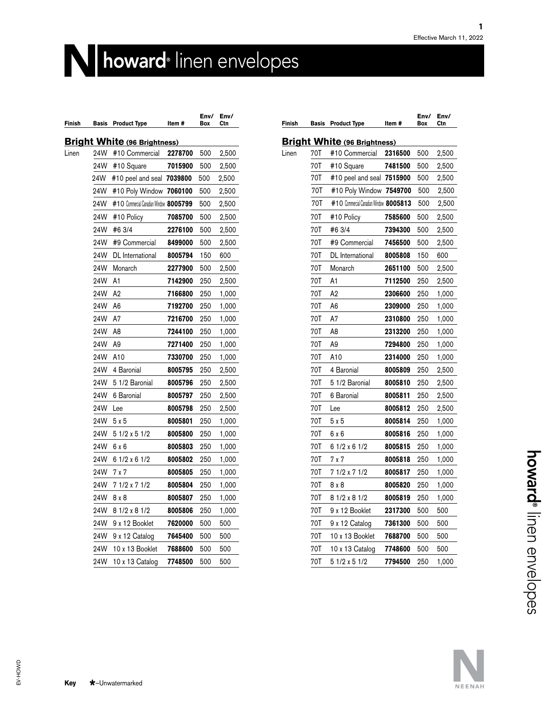# **howard**®linen envelopes

| Finish | <b>Basis</b> | <b>Product Type</b>                    | Item #  | Env/<br>Box | Env/<br>Ctn |
|--------|--------------|----------------------------------------|---------|-------------|-------------|
|        |              | <b>Bright White (96 Brightness)</b>    |         |             |             |
| Linen  | 24W          | #10 Commercial                         | 2278700 | 500         | 2,500       |
|        | 24W          | #10 Square                             | 7015900 | 500         | 2,500       |
|        | 24W          | #10 peel and seal 7039800              |         | 500         | 2,500       |
|        | 24W          | #10 Poly Window 7060100                |         | 500         | 2,500       |
|        | 24W          | #10 Commercial Canadian Window 8005799 |         | 500         | 2,500       |
|        | 24W          | #10 Policy                             | 7085700 | 500         | 2,500       |
|        | 24W          | #6 3/4                                 | 2276100 | 500         | 2,500       |
|        | 24W          | #9 Commercial                          | 8499000 | 500         | 2,500       |
|        | 24W          | DL International                       | 8005794 | 150         | 600         |
|        | 24W          | Monarch                                | 2277900 | 500         | 2,500       |
|        | 24W          | A1                                     | 7142900 | 250         | 2,500       |
|        | 24W          | A2                                     | 7166800 | 250         | 1,000       |
|        | 24W          | A6                                     | 7192700 | 250         | 1,000       |
|        | 24W          | Α7                                     | 7216700 | 250         | 1,000       |
|        | 24W          | A8                                     | 7244100 | 250         | 1,000       |
|        | 24W          | A9                                     | 7271400 | 250         | 1,000       |
|        | 24W          | A10                                    | 7330700 | 250         | 1,000       |
|        | 24W          | 4 Baronial                             | 8005795 | 250         | 2,500       |
|        | 24W          | 5 1/2 Baronial                         | 8005796 | 250         | 2,500       |
|        | 24W          | 6 Baronial                             | 8005797 | 250         | 2,500       |
|        | 24W          | Lee                                    | 8005798 | 250         | 2,500       |
|        | 24W          | 5x5                                    | 8005801 | 250         | 1,000       |
|        | 24W          | 5 1/2 x 5 1/2                          | 8005800 | 250         | 1,000       |
|        | 24W          | 6 x 6                                  | 8005803 | 250         | 1,000       |
|        | 24W          | 6 1/2 x 6 1/2                          | 8005802 | 250         | 1,000       |
|        | 24W          | 7 x 7                                  | 8005805 | 250         | 1,000       |
|        | 24W          | 7 1/2 x 7 1/2                          | 8005804 | 250         | 1,000       |
|        | 24W          | 8 x 8                                  | 8005807 | 250         | 1,000       |
|        | 24W          | 8 1/2 x 8 1/2                          | 8005806 | 250         | 1,000       |
|        | 24W          | 9 x 12 Booklet                         | 7620000 | 500         | 500         |
|        | 24W          | 9 x 12 Catalog                         | 7645400 | 500         | 500         |
|        | 24W          | 10 x 13 Booklet                        | 7688600 | 500         | 500         |
|        | 24W          | 10 x 13 Catalog                        | 7748500 | 500         | 500         |

| Finish | Basis | <b>Product Type</b>                        | Item #  | Env/<br>Box | Env/<br>Ctn |
|--------|-------|--------------------------------------------|---------|-------------|-------------|
|        |       | <b>Bright White (96 Brightness)</b>        |         |             |             |
| Linen  | 70T   | #10 Commercial                             | 2316500 | 500         | 2,500       |
|        | 70T   | #10 Square                                 | 7481500 | 500         | 2,500       |
|        | 70T   | #10 peel and seal 7515900                  |         | 500         | 2,500       |
|        | 70T   | #10 Poly Window 7549700                    |         | 500         | 2,500       |
|        | 70T   | $#10$ Commercial Canadian Window $8005813$ |         | 500         | 2,500       |
|        | 70T   | #10 Policy                                 | 7585600 | 500         | 2,500       |
|        | 70T   | #6 3/4                                     | 7394300 | 500         | 2,500       |
|        | 70T   | #9 Commercial                              | 7456500 | 500         | 2,500       |
|        | 70T   | DL International                           | 8005808 | 150         | 600         |
|        | 70T   | Monarch                                    | 2651100 | 500         | 2,500       |
|        | 70T   | A1                                         | 7112500 | 250         | 2,500       |
|        | 70T   | A2                                         | 2306600 | 250         | 1,000       |
|        | 70T   | A6                                         | 2309000 | 250         | 1,000       |
|        | 70T   | Α7                                         | 2310800 | 250         | 1,000       |
|        | 70T   | A8                                         | 2313200 | 250         | 1,000       |
|        | 70T   | Α9                                         | 7294800 | 250         | 1,000       |
|        | 70T   | A10                                        | 2314000 | 250         | 1,000       |
|        | 70T   | 4 Baronial                                 | 8005809 | 250         | 2,500       |
|        | 70T   | 5 1/2 Baronial                             | 8005810 | 250         | 2,500       |
|        | 70T   | 6 Baronial                                 | 8005811 | 250         | 2,500       |
|        | 70T   | Lee                                        | 8005812 | 250         | 2,500       |
|        | 70T   | 5 x 5                                      | 8005814 | 250         | 1,000       |
|        | 70T   | 6 x 6                                      | 8005816 | 250         | 1,000       |
|        | 70T   | 6 1/2 x 6 1/2                              | 8005815 | 250         | 1,000       |
|        | 70T   | 7 x 7                                      | 8005818 | 250         | 1,000       |
|        | 70T   | 7 1/2 x 7 1/2                              | 8005817 | 250         | 1,000       |
|        | 70T   | 8 x 8                                      | 8005820 | 250         | 1,000       |
|        | 70T   | 8 1/2 x 8 1/2                              | 8005819 | 250         | 1,000       |
|        | 70T   | 9 x 12 Booklet                             | 2317300 | 500         | 500         |
|        | 70T   | 9 x 12 Catalog                             | 7361300 | 500         | 500         |
|        | 70T   | 10 x 13 Booklet                            | 7688700 | 500         | 500         |
|        | 70T   | 10 x 13 Catalog                            | 7748600 | 500         | 500         |
|        | 70T   | 5 1/2 x 5 1/2                              | 7794500 | 250         | 1,000       |